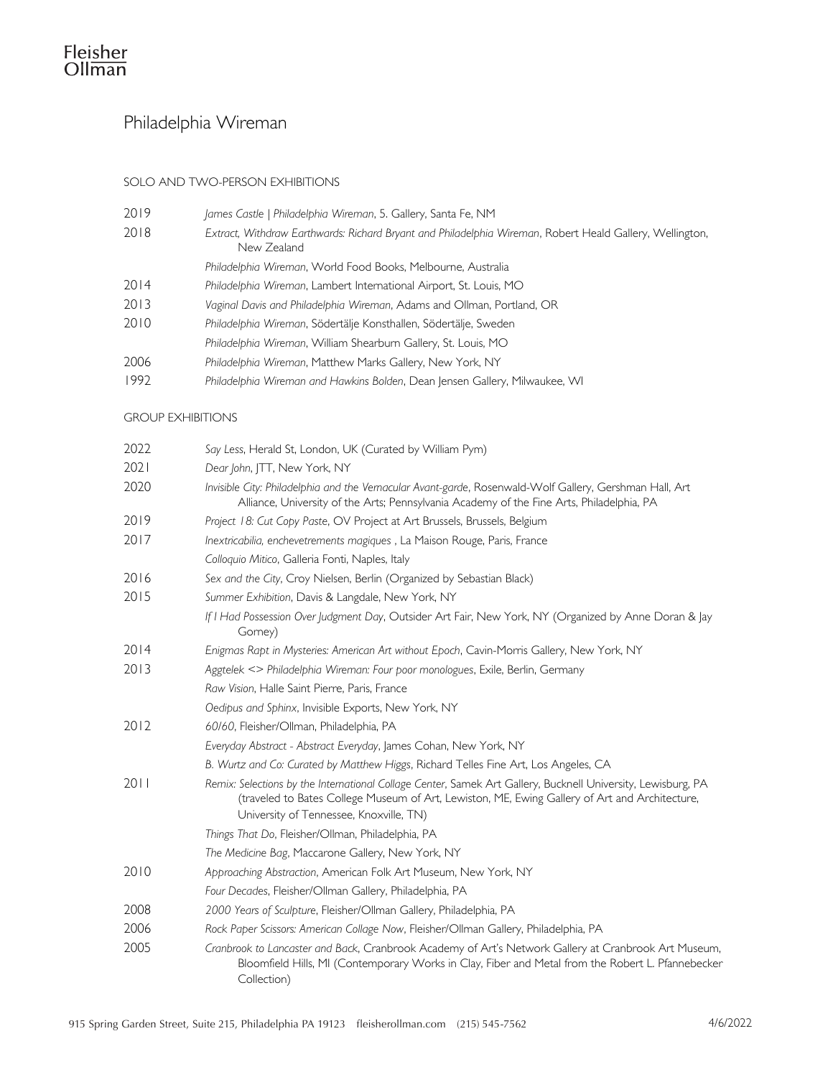# Philadelphia Wireman

## SOLO AND TWO-PERSON EXHIBITIONS

| 2019 | James Castle   Philadelphia Wireman, 5. Gallery, Santa Fe, NM                                                           |
|------|-------------------------------------------------------------------------------------------------------------------------|
| 2018 | Extract, Withdraw Earthwards: Richard Bryant and Philadelphia Wireman, Robert Heald Gallery, Wellington,<br>New Zealand |
|      | Philadelphia Wireman, World Food Books, Melbourne, Australia                                                            |
| 2014 | Philadelphia Wireman, Lambert International Airport, St. Louis, MO                                                      |
| 2013 | Vaginal Davis and Philadelphia Wireman, Adams and Ollman, Portland, OR                                                  |
| 2010 | Philadelphia Wireman, Södertälje Konsthallen, Södertälje, Sweden                                                        |
|      | Philadelphia Wireman, William Shearburn Gallery, St. Louis, MO                                                          |
| 2006 | Philadelphia Wireman, Matthew Marks Gallery, New York, NY                                                               |
| 1992 | Philadelphia Wireman and Hawkins Bolden, Dean Jensen Gallery, Milwaukee, WI                                             |

#### GROUP EXHIBITIONS

| 2022 | Say Less, Herald St, London, UK (Curated by William Pym)                                                                                                                                                                                                  |
|------|-----------------------------------------------------------------------------------------------------------------------------------------------------------------------------------------------------------------------------------------------------------|
| 2021 | Dear John, JTT, New York, NY                                                                                                                                                                                                                              |
| 2020 | Invisible City: Philadelphia and the Vernacular Avant-garde, Rosenwald-Wolf Gallery, Gershman Hall, Art<br>Alliance, University of the Arts; Pennsylvania Academy of the Fine Arts, Philadelphia, PA                                                      |
| 2019 | Project 18: Cut Copy Paste, OV Project at Art Brussels, Brussels, Belgium                                                                                                                                                                                 |
| 2017 | Inextricabilia, enchevetrements magiques, La Maison Rouge, Paris, France                                                                                                                                                                                  |
|      | Colloquio Mitico, Galleria Fonti, Naples, Italy                                                                                                                                                                                                           |
| 2016 | Sex and the City, Croy Nielsen, Berlin (Organized by Sebastian Black)                                                                                                                                                                                     |
| 2015 | Summer Exhibition, Davis & Langdale, New York, NY                                                                                                                                                                                                         |
|      | If I Had Possession Over Judgment Day, Outsider Art Fair, New York, NY (Organized by Anne Doran & Jay<br>Gorney)                                                                                                                                          |
| 2014 | Enigmas Rapt in Mysteries: American Art without Epoch, Cavin-Morris Gallery, New York, NY                                                                                                                                                                 |
| 2013 | Aggtelek <> Philadelphia Wireman: Four poor monologues, Exile, Berlin, Germany                                                                                                                                                                            |
|      | Raw Vision, Halle Saint Pierre, Paris, France                                                                                                                                                                                                             |
|      | Oedipus and Sphinx, Invisible Exports, New York, NY                                                                                                                                                                                                       |
| 2012 | 60/60, Fleisher/Ollman, Philadelphia, PA                                                                                                                                                                                                                  |
|      | Everyday Abstract - Abstract Everyday, James Cohan, New York, NY                                                                                                                                                                                          |
|      | B. Wurtz and Co: Curated by Matthew Higgs, Richard Telles Fine Art, Los Angeles, CA                                                                                                                                                                       |
| 2011 | Remix: Selections by the International Collage Center, Samek Art Gallery, Bucknell University, Lewisburg, PA<br>(traveled to Bates College Museum of Art, Lewiston, ME, Ewing Gallery of Art and Architecture,<br>University of Tennessee, Knoxville, TN) |
|      | Things That Do, Fleisher/Ollman, Philadelphia, PA                                                                                                                                                                                                         |
|      | The Medicine Bag, Maccarone Gallery, New York, NY                                                                                                                                                                                                         |
| 2010 | Approaching Abstraction, American Folk Art Museum, New York, NY                                                                                                                                                                                           |
|      | Four Decades, Fleisher/Ollman Gallery, Philadelphia, PA                                                                                                                                                                                                   |
| 2008 | 2000 Years of Sculpture, Fleisher/Ollman Gallery, Philadelphia, PA                                                                                                                                                                                        |
| 2006 | Rock Paper Scissors: American Collage Now, Fleisher/Ollman Gallery, Philadelphia, PA                                                                                                                                                                      |
| 2005 | Cranbrook to Lancaster and Back, Cranbrook Academy of Art's Network Gallery at Cranbrook Art Museum,<br>Bloomfield Hills, MI (Contemporary Works in Clay, Fiber and Metal from the Robert L. Pfannebecker<br>Collection)                                  |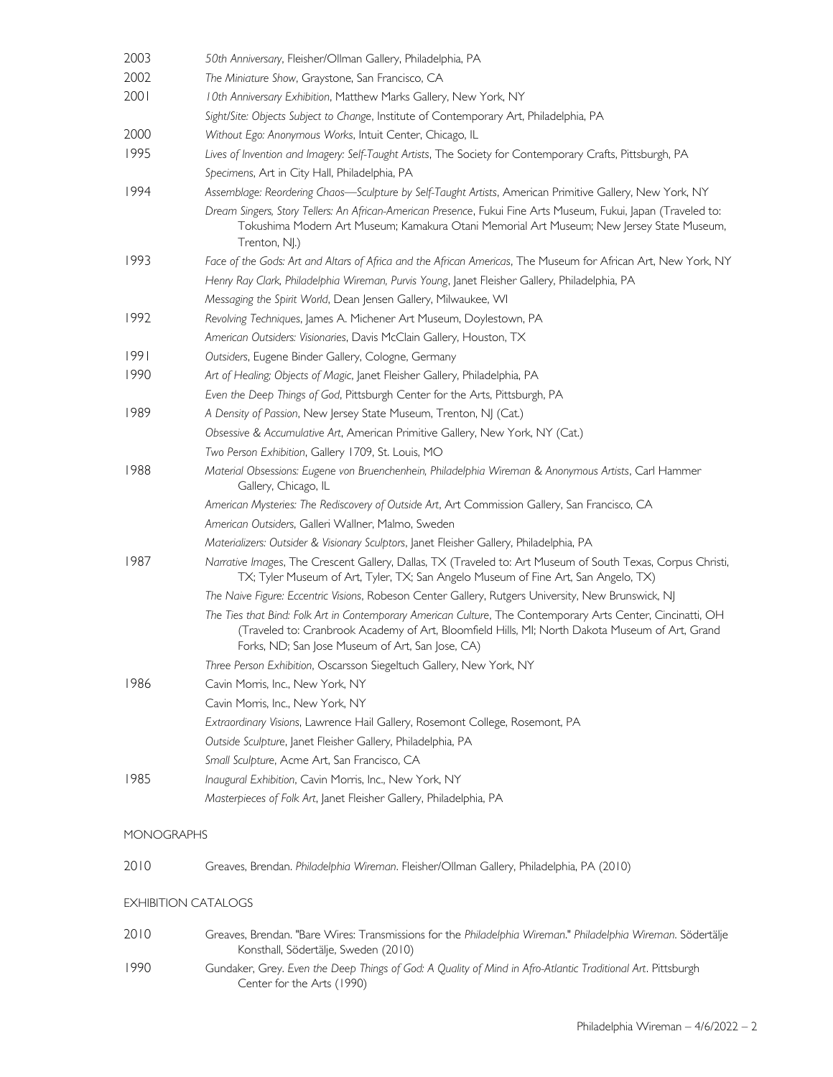| 2003       | 50th Anniversary, Fleisher/Ollman Gallery, Philadelphia, PA                                                                                                                                                                                                        |
|------------|--------------------------------------------------------------------------------------------------------------------------------------------------------------------------------------------------------------------------------------------------------------------|
| 2002       | The Miniature Show, Graystone, San Francisco, CA                                                                                                                                                                                                                   |
| 2001       | 10th Anniversary Exhibition, Matthew Marks Gallery, New York, NY                                                                                                                                                                                                   |
|            | Sight/Site: Objects Subject to Change, Institute of Contemporary Art, Philadelphia, PA                                                                                                                                                                             |
| 2000       | Without Ego: Anonymous Works, Intuit Center, Chicago, IL                                                                                                                                                                                                           |
| 1995       | Lives of Invention and Imagery: Self-Taught Artists, The Society for Contemporary Crafts, Pittsburgh, PA                                                                                                                                                           |
|            | Specimens, Art in City Hall, Philadelphia, PA                                                                                                                                                                                                                      |
| 1994       | Assemblage: Reordering Chaos—Sculpture by Self-Taught Artists, American Primitive Gallery, New York, NY                                                                                                                                                            |
|            | Dream Singers, Story Tellers: An African-American Presence, Fukui Fine Arts Museum, Fukui, Japan (Traveled to:<br>Tokushima Modern Art Museum; Kamakura Otani Memorial Art Museum; New Jersey State Museum,<br>Trenton, NJ.)                                       |
| 1993       | Face of the Gods: Art and Altars of Africa and the African Americas, The Museum for African Art, New York, NY                                                                                                                                                      |
|            | Henry Ray Clark, Philadelphia Wireman, Purvis Young, Janet Fleisher Gallery, Philadelphia, PA                                                                                                                                                                      |
|            | Messaging the Spirit World, Dean Jensen Gallery, Milwaukee, WI                                                                                                                                                                                                     |
| 1992       | Revolving Techniques, James A. Michener Art Museum, Doylestown, PA                                                                                                                                                                                                 |
|            | American Outsiders: Visionaries, Davis McClain Gallery, Houston, TX                                                                                                                                                                                                |
| 1991       | Outsiders, Eugene Binder Gallery, Cologne, Germany                                                                                                                                                                                                                 |
| 1990       | Art of Healing; Objects of Magic, Janet Fleisher Gallery, Philadelphia, PA                                                                                                                                                                                         |
|            | Even the Deep Things of God, Pittsburgh Center for the Arts, Pittsburgh, PA                                                                                                                                                                                        |
| 1989       | A Density of Passion, New Jersey State Museum, Trenton, NJ (Cat.)                                                                                                                                                                                                  |
|            | Obsessive & Accumulative Art, American Primitive Gallery, New York, NY (Cat.)                                                                                                                                                                                      |
|            | Two Person Exhibition, Gallery 1709, St. Louis, MO                                                                                                                                                                                                                 |
| 1988       | Material Obsessions: Eugene von Bruenchenhein, Philadelphia Wireman & Anonymous Artists, Carl Hammer<br>Gallery, Chicago, IL                                                                                                                                       |
|            | American Mysteries: The Rediscovery of Outside Art, Art Commission Gallery, San Francisco, CA                                                                                                                                                                      |
|            | American Outsiders, Galleri Wallner, Malmo, Sweden                                                                                                                                                                                                                 |
|            | Materializers: Outsider & Visionary Sculptors, Janet Fleisher Gallery, Philadelphia, PA                                                                                                                                                                            |
| 1987       | Narrative Images, The Crescent Gallery, Dallas, TX (Traveled to: Art Museum of South Texas, Corpus Christi,<br>TX; Tyler Museum of Art, Tyler, TX; San Angelo Museum of Fine Art, San Angelo, TX)                                                                  |
|            | The Naive Figure: Eccentric Visions, Robeson Center Gallery, Rutgers University, New Brunswick, NJ                                                                                                                                                                 |
|            | The Ties that Bind: Folk Art in Contemporary American Culture, The Contemporary Arts Center, Cincinatti, OH<br>(Traveled to: Cranbrook Academy of Art, Bloomfield Hills, MI; North Dakota Museum of Art, Grand<br>Forks, ND; San Jose Museum of Art, San Jose, CA) |
|            | Three Person Exhibition, Oscarsson Siegeltuch Gallery, New York, NY                                                                                                                                                                                                |
| 1986       | Cavin Morris, Inc., New York, NY                                                                                                                                                                                                                                   |
|            | Cavin Morris, Inc., New York, NY                                                                                                                                                                                                                                   |
|            | Extraordinary Visions, Lawrence Hail Gallery, Rosemont College, Rosemont, PA                                                                                                                                                                                       |
|            | Outside Sculpture, Janet Fleisher Gallery, Philadelphia, PA                                                                                                                                                                                                        |
|            | Small Sculpture, Acme Art, San Francisco, CA                                                                                                                                                                                                                       |
| 1985       | Inaugural Exhibition, Cavin Morris, Inc., New York, NY                                                                                                                                                                                                             |
|            | Masterpieces of Folk Art, Janet Fleisher Gallery, Philadelphia, PA                                                                                                                                                                                                 |
| MONOGRAPHS |                                                                                                                                                                                                                                                                    |
| 2010       | Greaves, Brendan. Philadelphia Wireman. Fleisher/Ollman Gallery, Philadelphia, PA (2010)                                                                                                                                                                           |
|            | <b>EXHIBITION CATALOGS</b>                                                                                                                                                                                                                                         |
| 2010       | Greaves, Brendan. "Bare Wires: Transmissions for the Philadelphia Wireman." Philadelphia Wireman. Södertälje<br>Konsthall, Södertälje, Sweden (2010)                                                                                                               |
| 1990       | Gundaker, Grey. Even the Deep Things of God: A Quality of Mind in Afro-Atlantic Traditional Art. Pittsburgh<br>Center for the Arts (1990)                                                                                                                          |
|            |                                                                                                                                                                                                                                                                    |